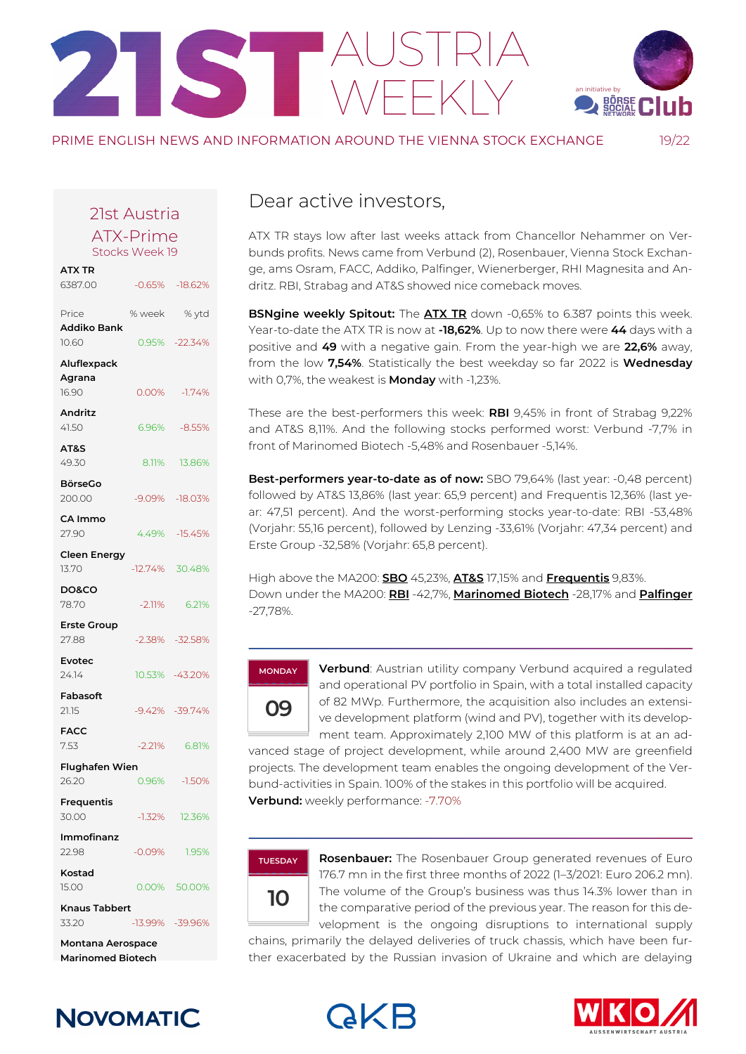# AUSTRIA WEEKLY an initiative by<br> **WEEKLY**



PRIME ENGLISH NEWS AND INFORMATION AROUND THE VIENNA STOCK EXCHANGE

19/22

#### 21st Austria

ATX-Prime Stocks Week 19

| <b>ATX TR</b>                 |           |                    |  |
|-------------------------------|-----------|--------------------|--|
| 6387.00                       |           | $-0.65\% -18.62\%$ |  |
| Price<br>Addiko Bank          | % week    | % ytd              |  |
| 10.60                         |           | 0.95% -22.34%      |  |
| Aluflexpack                   |           |                    |  |
| Agrana                        |           |                    |  |
| 16.90                         | 0.00%     | $-1.74%$           |  |
| <b>Andritz</b><br>41.50       |           | 6.96% -8.55%       |  |
| AT&S                          |           |                    |  |
| 49.30                         |           | 8.11% 13.86%       |  |
| BörseGo<br>200.00             |           | -9.09% -18.03%     |  |
| CA Immo<br>27.90              |           | 4.49% - 15.45%     |  |
| Cleen Energy<br>13.70         |           | $-12.74\%$ 30.48%  |  |
| DO&CO<br>78.70                | $-2.11%$  | 6.21%              |  |
| <b>Erste Group</b><br>27.88   |           | -2.38% -32.58%     |  |
| Evotec<br>24.14               |           | 10.53% -43.20%     |  |
| Fabasoft<br>21.15             |           | $-9.42\% -39.74\%$ |  |
| FACC<br>7.53                  | $-2.21%$  | 6.81%              |  |
| Flughafen Wien                |           |                    |  |
| 26.20                         | 0.96%     | $-1.50%$           |  |
| Frequentis<br>30.00           |           | $-1.32\%$ 12.36%   |  |
| Immofinanz<br>22.98           | $-0.09\%$ | 1.95%              |  |
| Kostad<br>15.00               |           | 0.00% 50.00%       |  |
| <b>Knaus Tabbert</b><br>33.20 |           | -13.99% -39.96%    |  |
|                               |           |                    |  |

**Montana Aerospace Marinomed Biotech**

### Dear active investors,

ATX TR stays low after last weeks attack from Chancellor Nehammer on Verbunds profits. News came from Verbund (2), Rosenbauer, Vienna Stock Exchange, ams Osram, FACC, Addiko, Palfinger, Wienerberger, RHI Magnesita and Andritz. RBI, Strabag and AT&S showed nice comeback moves.

**BSNgine weekly Spitout:** The **[ATX TR](https://boerse-social.com/launch/aktie/atxtr)** down -0,65% to 6.387 points this week. Year-to-date the ATX TR is now at **-18,62%**. Up to now there were **44** days with a positive and **49** with a negative gain. From the year-high we are **22,6%** away, from the low **7,54%**. Statistically the best weekday so far 2022 is **Wednesday** with 0,7%, the weakest is **Monday** with -1,23%.

These are the best-performers this week: **RBI** 9,45% in front of Strabag 9,22% and AT&S 8,11%. And the following stocks performed worst: Verbund -7,7% in front of Marinomed Biotech -5,48% and Rosenbauer -5,14%.

**Best-performers year-to-date as of now:** SBO 79,64% (last year: -0,48 percent) followed by AT&S 13,86% (last year: 65,9 percent) and Frequentis 12,36% (last year: 47,51 percent). And the worst-performing stocks year-to-date: RBI -53,48% (Vorjahr: 55,16 percent), followed by Lenzing -33,61% (Vorjahr: 47,34 percent) and Erste Group -32,58% (Vorjahr: 65,8 percent).

High above the MA200: **[SBO](http://boerse-social.com/launch/aktie/schoellerbleckmann)** 45,23%, **[AT&S](http://boerse-social.com/launch/aktie/ats)** 17,15% and **[Frequentis](http://boerse-social.com/launch/aktie/frequentis)** 9,83%. Down under the MA200: **[RBI](http://boerse-social.com/launch/aktie/raiffeisen_bank_int)** -42,7%, **[Marinomed Biotech](http://boerse-social.com/launch/aktie/marinomed_biotech)** -28,17% and **[Palfinger](http://boerse-social.com/launch/aktie/palfinger)** -27,78%.

### **09 MONDAY**

**Verbund**: Austrian utility company Verbund acquired a regulated and operational PV portfolio in Spain, with a total installed capacity of 82 MWp. Furthermore, the acquisition also includes an extensive development platform (wind and PV), together with its development team. Approximately 2,100 MW of this platform is at an ad-

vanced stage of project development, while around 2,400 MW are greenfield projects. The development team enables the ongoing development of the Verbund-activities in Spain. 100% of the stakes in this portfolio will be acquired. **Verbund:** weekly performance: -7.70%

#### **TUESDAY**



**Rosenbauer:** The Rosenbauer Group generated revenues of Euro 176.7 mn in the first three months of 2022 (1–3/2021: Euro 206.2 mn). The volume of the Group's business was thus 14.3% lower than in the comparative period of the previous year. The reason for this development is the ongoing disruptions to international supply

chains, primarily the delayed deliveries of truck chassis, which have been further exacerbated by the Russian invasion of Ukraine and which are delaying

### **NOVOMATIC**



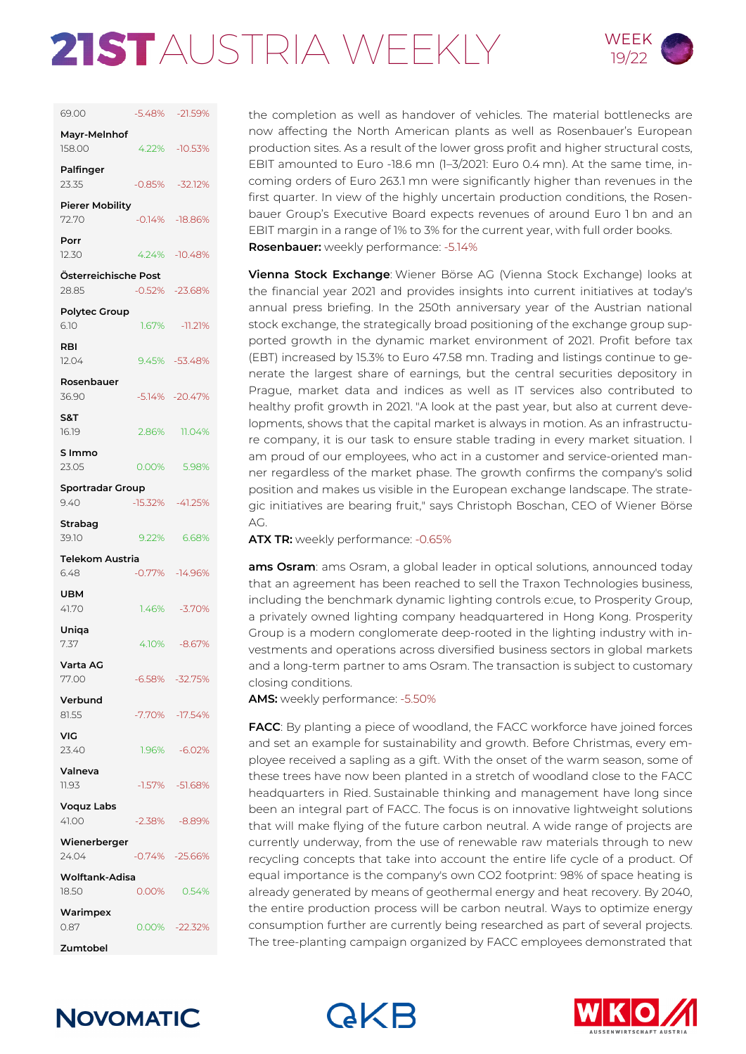# 21STAUSTRIA WEEKLY WEEK



| 69.00                           |       | -5.48% -21.59%      |
|---------------------------------|-------|---------------------|
| Mayr-Melnhof<br>158.00          |       | 4.22% - 10.53%      |
| Palfinger<br>23.35              |       | $-0.85\% -32.12\%$  |
| <b>Pierer Mobility</b><br>72.70 |       | $-0.14\% -18.86\%$  |
| Porr<br>12.30                   |       | 4.24% - 10.48%      |
| Österreichische Post<br>28.85   |       | $-0.52\% -23.68\%$  |
| <b>Polytec Group</b><br>6.10    |       | 1.67% - 11.21%      |
| RBI<br>12.04                    |       | 9.45% - 53.48%      |
| Rosenbauer<br>36.90             |       | $-5.14\% -20.47\%$  |
| S&T<br>16.19                    |       | 2.86% 11.04%        |
| S Immo<br>23.05                 |       | 0.00% 5.98%         |
| <b>Sportradar Group</b><br>9.40 |       | $-15.32\% -41.25\%$ |
| Strabag<br>39.10                |       | 9.22% 6.68%         |
|                                 |       |                     |
| Telekom Austria<br>6.48         |       | $-0.77\% -14.96\%$  |
| UBM<br>41.70                    | 1.46% | $-3.70\%$           |
| Uniqa<br>7.37                   |       | 4.10% -8.67%        |
| Varta AG<br>77.00               |       | $-6.58\% -32.75\%$  |
| Verbund<br>81.55                |       | -7.70% -17.54%      |
| VIG<br>23.40                    | 1.96% | $-6.02\%$           |
| Valneva<br>11.93                |       | $-1.57\% -51.68\%$  |
| <b>Voquz Labs</b>               |       |                     |
| 41.00                           |       | $-2.38\% -8.89\%$   |
| Wienerberger<br>24.04           |       | $-0.74\% -25.66\%$  |
| <b>Wolftank-Adisa</b><br>18.50  | 0.00% | 0.54%               |
| Warimpex<br>0.87                |       | 0.00% -22.32%       |
| Zumtobel                        |       |                     |

the completion as well as handover of vehicles. The material bottlenecks are now affecting the North American plants as well as Rosenbauer's European production sites. As a result of the lower gross profit and higher structural costs, EBIT amounted to Euro -18.6 mn (1–3/2021: Euro 0.4 mn). At the same time, incoming orders of Euro 263.1 mn were significantly higher than revenues in the first quarter. In view of the highly uncertain production conditions, the Rosenbauer Group's Executive Board expects revenues of around Euro 1 bn and an EBIT margin in a range of 1% to 3% for the current year, with full order books. **Rosenbauer:** weekly performance: -5.14%

**Vienna Stock Exchange**: Wiener Börse AG (Vienna Stock Exchange) looks at the financial year 2021 and provides insights into current initiatives at today's annual press briefing. In the 250th anniversary year of the Austrian national stock exchange, the strategically broad positioning of the exchange group supported growth in the dynamic market environment of 2021. Profit before tax (EBT) increased by 15.3% to Euro 47.58 mn. Trading and listings continue to generate the largest share of earnings, but the central securities depository in Prague, market data and indices as well as IT services also contributed to healthy profit growth in 2021. "A look at the past year, but also at current developments, shows that the capital market is always in motion. As an infrastructure company, it is our task to ensure stable trading in every market situation. I am proud of our employees, who act in a customer and service-oriented manner regardless of the market phase. The growth confirms the company's solid position and makes us visible in the European exchange landscape. The strategic initiatives are bearing fruit," says Christoph Boschan, CEO of Wiener Börse AG.

**ATX TR:** weekly performance: -0.65%

ams Osram: ams Osram, a global leader in optical solutions, announced today that an agreement has been reached to sell the Traxon Technologies business, including the benchmark dynamic lighting controls e:cue, to Prosperity Group, a privately owned lighting company headquartered in Hong Kong. Prosperity Group is a modern conglomerate deep-rooted in the lighting industry with investments and operations across diversified business sectors in global markets and a long-term partner to ams Osram. The transaction is subject to customary closing conditions.

**AMS:** weekly performance: -5.50%

**FACC**: By planting a piece of woodland, the FACC workforce have joined forces and set an example for sustainability and growth. Before Christmas, every employee received a sapling as a gift. With the onset of the warm season, some of these trees have now been planted in a stretch of woodland close to the FACC headquarters in Ried. Sustainable thinking and management have long since been an integral part of FACC. The focus is on innovative lightweight solutions that will make flying of the future carbon neutral. A wide range of projects are currently underway, from the use of renewable raw materials through to new recycling concepts that take into account the entire life cycle of a product. Of equal importance is the company's own CO2 footprint: 98% of space heating is already generated by means of geothermal energy and heat recovery. By 2040, the entire production process will be carbon neutral. Ways to optimize energy consumption further are currently being researched as part of several projects. The tree-planting campaign organized by FACC employees demonstrated that





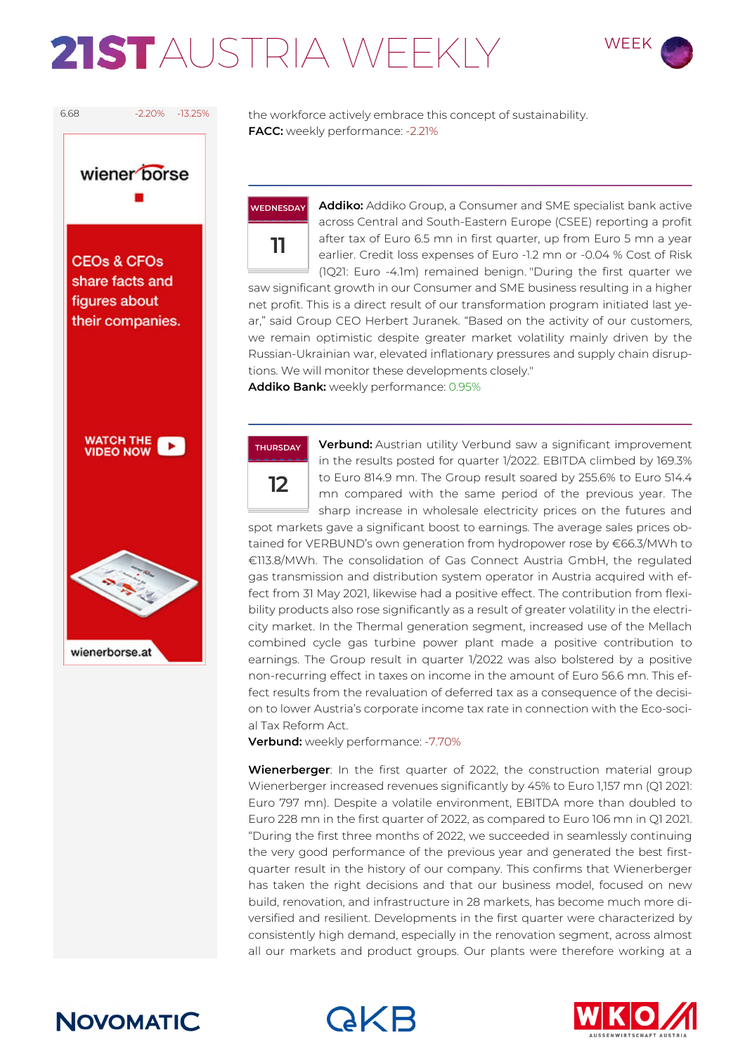# 21STAUSTRIA WFFKIY WEEK





6.68 -2.20% -13.25% the workforce actively embrace this concept of sustainability. **FACC:** weekly performance: -2.21%



**Addiko:** Addiko Group, a Consumer and SME specialist bank active across Central and South-Eastern Europe (CSEE) reporting a profit after tax of Euro 6.5 mn in first quarter, up from Euro 5 mn a year earlier. Credit loss expenses of Euro -1.2 mn or -0.04 % Cost of Risk (1Q21: Euro -4.1m) remained benign. "During the first quarter we saw significant growth in our Consumer and SME business resulting in a higher net profit. This is a direct result of our transformation program initiated last ye-

ar," said Group CEO Herbert Juranek. "Based on the activity of our customers, we remain optimistic despite greater market volatility mainly driven by the Russian-Ukrainian war, elevated inflationary pressures and supply chain disruptions. We will monitor these developments closely."

**Addiko Bank:** weekly performance: 0.95%



**Verbund:** Austrian utility Verbund saw a significant improvement in the results posted for quarter 1/2022. EBITDA climbed by 169.3% to Euro 814.9 mn. The Group result soared by 255.6% to Euro 514.4 mn compared with the same period of the previous year. The sharp increase in wholesale electricity prices on the futures and

spot markets gave a significant boost to earnings. The average sales prices obtained for VERBUND's own generation from hydropower rose by €66.3/MWh to €113.8/MWh. The consolidation of Gas Connect Austria GmbH, the regulated gas transmission and distribution system operator in Austria acquired with effect from 31 May 2021, likewise had a positive effect. The contribution from flexibility products also rose significantly as a result of greater volatility in the electricity market. In the Thermal generation segment, increased use of the Mellach combined cycle gas turbine power plant made a positive contribution to earnings. The Group result in quarter 1/2022 was also bolstered by a positive non-recurring effect in taxes on income in the amount of Euro 56.6 mn. This effect results from the revaluation of deferred tax as a consequence of the decision to lower Austria's corporate income tax rate in connection with the Eco-social Tax Reform Act.

**Verbund:** weekly performance: -7.70%

**Wienerberger**: In the first quarter of 2022, the construction material group Wienerberger increased revenues significantly by 45% to Euro 1,157 mn (Q1 2021: Euro 797 mn). Despite a volatile environment, EBITDA more than doubled to Euro 228 mn in the first quarter of 2022, as compared to Euro 106 mn in Q1 2021. "During the first three months of 2022, we succeeded in seamlessly continuing the very good performance of the previous year and generated the best firstquarter result in the history of our company. This confirms that Wienerberger has taken the right decisions and that our business model, focused on new build, renovation, and infrastructure in 28 markets, has become much more diversified and resilient. Developments in the first quarter were characterized by consistently high demand, especially in the renovation segment, across almost all our markets and product groups. Our plants were therefore working at a